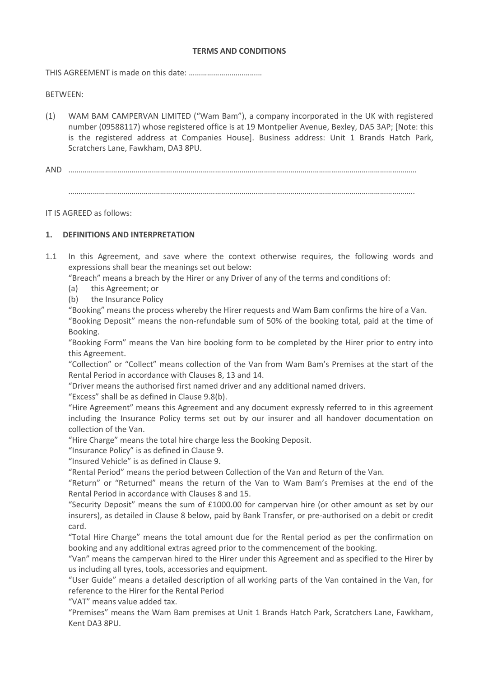### **TERMS AND CONDITIONS**

THIS AGREEMENT is made on this date: ………………………………

BETWEEN:

- (1) WAM BAM CAMPERVAN LIMITED ("Wam Bam"), a company incorporated in the UK with registered number (09588117) whose registered office is at 19 Montpelier Avenue, Bexley, DA5 3AP; [Note: this is the registered address at Companies House]. Business address: Unit 1 Brands Hatch Park, Scratchers Lane, Fawkham, DA3 8PU.
- AND ……………………………………………………………………………………………………………………………………………………… ……………………………………………………………………………………………………………………………………………………..

IT IS AGREED as follows:

## **1. DEFINITIONS AND INTERPRETATION**

1.1 In this Agreement, and save where the context otherwise requires, the following words and expressions shall bear the meanings set out below:

"Breach" means a breach by the Hirer or any Driver of any of the terms and conditions of:

- (a) this Agreement; or
- (b) the Insurance Policy

"Booking" means the process whereby the Hirer requests and Wam Bam confirms the hire of a Van. "Booking Deposit" means the non-refundable sum of 50% of the booking total, paid at the time of

Booking.

"Booking Form" means the Van hire booking form to be completed by the Hirer prior to entry into this Agreement.

"Collection" or "Collect" means collection of the Van from Wam Bam's Premises at the start of the Rental Period in accordance with Clauses 8, 13 and 14.

"Driver means the authorised first named driver and any additional named drivers.

"Excess" shall be as defined in Clause 9.8(b).

"Hire Agreement" means this Agreement and any document expressly referred to in this agreement including the Insurance Policy terms set out by our insurer and all handover documentation on collection of the Van.

"Hire Charge" means the total hire charge less the Booking Deposit.

"Insurance Policy" is as defined in Clause 9.

"Insured Vehicle" is as defined in Clause 9.

"Rental Period" means the period between Collection of the Van and Return of the Van.

"Return" or "Returned" means the return of the Van to Wam Bam's Premises at the end of the Rental Period in accordance with Clauses 8 and 15.

"Security Deposit" means the sum of £1000.00 for campervan hire (or other amount as set by our insurers), as detailed in Clause 8 below, paid by Bank Transfer, or pre-authorised on a debit or credit card.

"Total Hire Charge" means the total amount due for the Rental period as per the confirmation on booking and any additional extras agreed prior to the commencement of the booking.

"Van" means the campervan hired to the Hirer under this Agreement and as specified to the Hirer by us including all tyres, tools, accessories and equipment.

"User Guide" means a detailed description of all working parts of the Van contained in the Van, for reference to the Hirer for the Rental Period

"VAT" means value added tax.

"Premises" means the Wam Bam premises at Unit 1 Brands Hatch Park, Scratchers Lane, Fawkham, Kent DA3 8PU.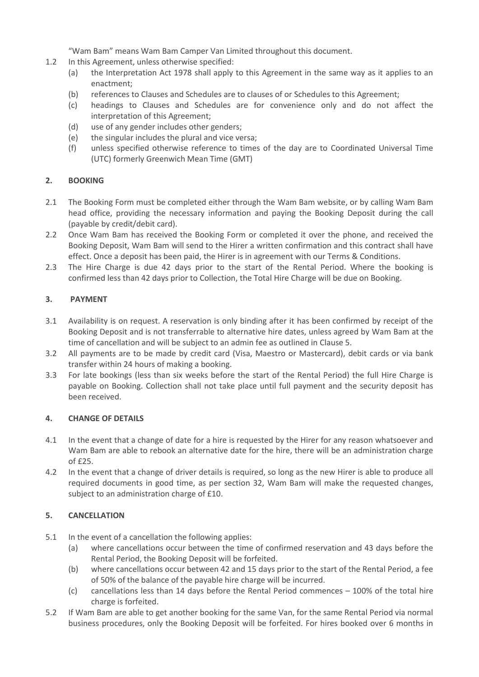"Wam Bam" means Wam Bam Camper Van Limited throughout this document.

- 1.2 In this Agreement, unless otherwise specified:
	- (a) the Interpretation Act 1978 shall apply to this Agreement in the same way as it applies to an enactment;
	- (b) references to Clauses and Schedules are to clauses of or Schedules to this Agreement;
	- (c) headings to Clauses and Schedules are for convenience only and do not affect the interpretation of this Agreement;
	- (d) use of any gender includes other genders;
	- (e) the singular includes the plural and vice versa;
	- (f) unless specified otherwise reference to times of the day are to Coordinated Universal Time (UTC) formerly Greenwich Mean Time (GMT)

# **2. BOOKING**

- 2.1 The Booking Form must be completed either through the Wam Bam website, or by calling Wam Bam head office, providing the necessary information and paying the Booking Deposit during the call (payable by credit/debit card).
- 2.2 Once Wam Bam has received the Booking Form or completed it over the phone, and received the Booking Deposit, Wam Bam will send to the Hirer a written confirmation and this contract shall have effect. Once a deposit has been paid, the Hirer is in agreement with our Terms & Conditions.
- 2.3 The Hire Charge is due 42 days prior to the start of the Rental Period. Where the booking is confirmed less than 42 days prior to Collection, the Total Hire Charge will be due on Booking.

## **3. PAYMENT**

- 3.1 Availability is on request. A reservation is only binding after it has been confirmed by receipt of the Booking Deposit and is not transferrable to alternative hire dates, unless agreed by Wam Bam at the time of cancellation and will be subject to an admin fee as outlined in Clause 5.
- 3.2 All payments are to be made by credit card (Visa, Maestro or Mastercard), debit cards or via bank transfer within 24 hours of making a booking.
- 3.3 For late bookings (less than six weeks before the start of the Rental Period) the full Hire Charge is payable on Booking. Collection shall not take place until full payment and the security deposit has been received.

## **4. CHANGE OF DETAILS**

- 4.1 In the event that a change of date for a hire is requested by the Hirer for any reason whatsoever and Wam Bam are able to rebook an alternative date for the hire, there will be an administration charge of £25.
- 4.2 In the event that a change of driver details is required, so long as the new Hirer is able to produce all required documents in good time, as per section 32, Wam Bam will make the requested changes, subject to an administration charge of £10.

## **5. CANCELLATION**

- 5.1 In the event of a cancellation the following applies:
	- (a) where cancellations occur between the time of confirmed reservation and 43 days before the Rental Period, the Booking Deposit will be forfeited.
	- (b) where cancellations occur between 42 and 15 days prior to the start of the Rental Period, a fee of 50% of the balance of the payable hire charge will be incurred.
	- (c) cancellations less than 14 days before the Rental Period commences 100% of the total hire charge is forfeited.
- 5.2 If Wam Bam are able to get another booking for the same Van, for the same Rental Period via normal business procedures, only the Booking Deposit will be forfeited. For hires booked over 6 months in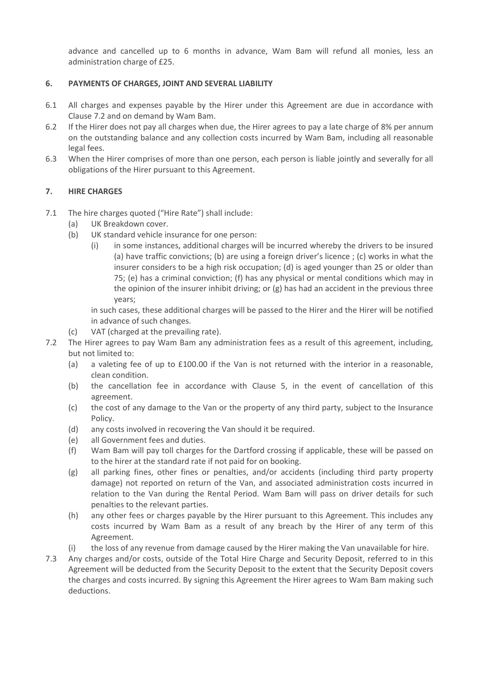advance and cancelled up to 6 months in advance, Wam Bam will refund all monies, less an administration charge of £25.

## **6. PAYMENTS OF CHARGES, JOINT AND SEVERAL LIABILITY**

- 6.1 All charges and expenses payable by the Hirer under this Agreement are due in accordance with Clause 7.2 and on demand by Wam Bam.
- 6.2 If the Hirer does not pay all charges when due, the Hirer agrees to pay a late charge of 8% per annum on the outstanding balance and any collection costs incurred by Wam Bam, including all reasonable legal fees.
- 6.3 When the Hirer comprises of more than one person, each person is liable jointly and severally for all obligations of the Hirer pursuant to this Agreement.

# **7. HIRE CHARGES**

- 7.1 The hire charges quoted ("Hire Rate") shall include:
	- (a) UK Breakdown cover.
	- (b) UK standard vehicle insurance for one person:
		- (i) in some instances, additional charges will be incurred whereby the drivers to be insured (a) have traffic convictions; (b) are using a foreign driver's licence ; (c) works in what the insurer considers to be a high risk occupation; (d) is aged younger than 25 or older than 75; (e) has a criminal conviction; (f) has any physical or mental conditions which may in the opinion of the insurer inhibit driving; or (g) has had an accident in the previous three years;

in such cases, these additional charges will be passed to the Hirer and the Hirer will be notified in advance of such changes.

- (c) VAT (charged at the prevailing rate).
- 7.2 The Hirer agrees to pay Wam Bam any administration fees as a result of this agreement, including, but not limited to:
	- (a) a valeting fee of up to £100.00 if the Van is not returned with the interior in a reasonable, clean condition.
	- (b) the cancellation fee in accordance with Clause 5, in the event of cancellation of this agreement.
	- (c) the cost of any damage to the Van or the property of any third party, subject to the Insurance Policy.
	- (d) any costs involved in recovering the Van should it be required.
	- (e) all Government fees and duties.
	- (f) Wam Bam will pay toll charges for the Dartford crossing if applicable, these will be passed on to the hirer at the standard rate if not paid for on booking.
	- (g) all parking fines, other fines or penalties, and/or accidents (including third party property damage) not reported on return of the Van, and associated administration costs incurred in relation to the Van during the Rental Period. Wam Bam will pass on driver details for such penalties to the relevant parties.
	- (h) any other fees or charges payable by the Hirer pursuant to this Agreement. This includes any costs incurred by Wam Bam as a result of any breach by the Hirer of any term of this Agreement.
	- (i) the loss of any revenue from damage caused by the Hirer making the Van unavailable for hire.
- 7.3 Any charges and/or costs, outside of the Total Hire Charge and Security Deposit, referred to in this Agreement will be deducted from the Security Deposit to the extent that the Security Deposit covers the charges and costs incurred. By signing this Agreement the Hirer agrees to Wam Bam making such deductions.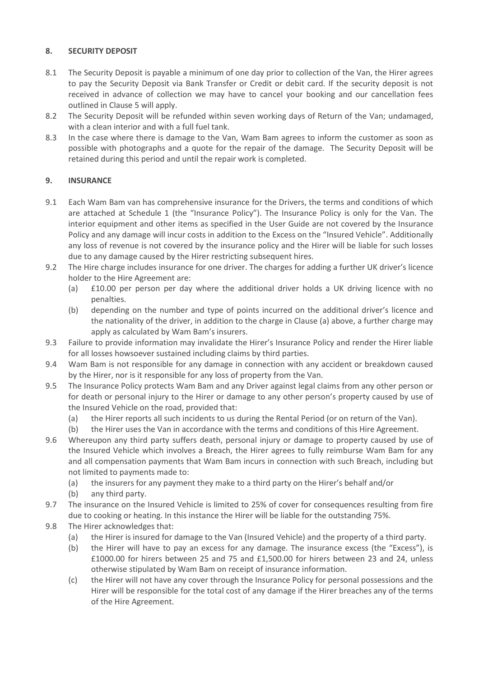# **8. SECURITY DEPOSIT**

- 8.1 The Security Deposit is payable a minimum of one day prior to collection of the Van, the Hirer agrees to pay the Security Deposit via Bank Transfer or Credit or debit card. If the security deposit is not received in advance of collection we may have to cancel your booking and our cancellation fees outlined in Clause 5 will apply.
- 8.2 The Security Deposit will be refunded within seven working days of Return of the Van; undamaged, with a clean interior and with a full fuel tank.
- 8.3 In the case where there is damage to the Van, Wam Bam agrees to inform the customer as soon as possible with photographs and a quote for the repair of the damage. The Security Deposit will be retained during this period and until the repair work is completed.

# **9. INSURANCE**

- 9.1 Each Wam Bam van has comprehensive insurance for the Drivers, the terms and conditions of which are attached at Schedule 1 (the "Insurance Policy"). The Insurance Policy is only for the Van. The interior equipment and other items as specified in the User Guide are not covered by the Insurance Policy and any damage will incur costs in addition to the Excess on the "Insured Vehicle". Additionally any loss of revenue is not covered by the insurance policy and the Hirer will be liable for such losses due to any damage caused by the Hirer restricting subsequent hires.
- 9.2 The Hire charge includes insurance for one driver. The charges for adding a further UK driver's licence holder to the Hire Agreement are:
	- (a) £10.00 per person per day where the additional driver holds a UK driving licence with no penalties.
	- (b) depending on the number and type of points incurred on the additional driver's licence and the nationality of the driver, in addition to the charge in Clause (a) above, a further charge may apply as calculated by Wam Bam's insurers.
- 9.3 Failure to provide information may invalidate the Hirer's Insurance Policy and render the Hirer liable for all losses howsoever sustained including claims by third parties.
- 9.4 Wam Bam is not responsible for any damage in connection with any accident or breakdown caused by the Hirer, nor is it responsible for any loss of property from the Van.
- 9.5 The Insurance Policy protects Wam Bam and any Driver against legal claims from any other person or for death or personal injury to the Hirer or damage to any other person's property caused by use of the Insured Vehicle on the road, provided that:
	- (a) the Hirer reports all such incidents to us during the Rental Period (or on return of the Van).
	- (b) the Hirer uses the Van in accordance with the terms and conditions of this Hire Agreement.
- 9.6 Whereupon any third party suffers death, personal injury or damage to property caused by use of the Insured Vehicle which involves a Breach, the Hirer agrees to fully reimburse Wam Bam for any and all compensation payments that Wam Bam incurs in connection with such Breach, including but not limited to payments made to:
	- (a) the insurers for any payment they make to a third party on the Hirer's behalf and/or
	- (b) any third party.
- 9.7 The insurance on the Insured Vehicle is limited to 25% of cover for consequences resulting from fire due to cooking or heating. In this instance the Hirer will be liable for the outstanding 75%.
- 9.8 The Hirer acknowledges that:
	- (a) the Hirer is insured for damage to the Van (Insured Vehicle) and the property of a third party.
	- (b) the Hirer will have to pay an excess for any damage. The insurance excess (the "Excess"), is £1000.00 for hirers between 25 and 75 and £1,500.00 for hirers between 23 and 24, unless otherwise stipulated by Wam Bam on receipt of insurance information.
	- (c) the Hirer will not have any cover through the Insurance Policy for personal possessions and the Hirer will be responsible for the total cost of any damage if the Hirer breaches any of the terms of the Hire Agreement.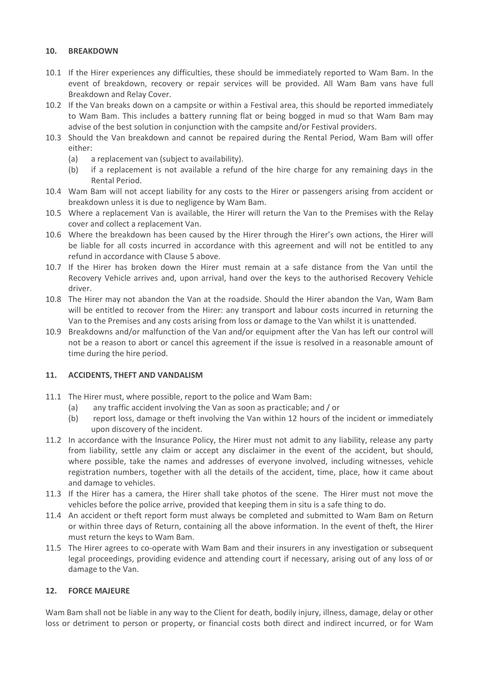### **10. BREAKDOWN**

- 10.1 If the Hirer experiences any difficulties, these should be immediately reported to Wam Bam. In the event of breakdown, recovery or repair services will be provided. All Wam Bam vans have full Breakdown and Relay Cover.
- 10.2 If the Van breaks down on a campsite or within a Festival area, this should be reported immediately to Wam Bam. This includes a battery running flat or being bogged in mud so that Wam Bam may advise of the best solution in conjunction with the campsite and/or Festival providers.
- 10.3 Should the Van breakdown and cannot be repaired during the Rental Period, Wam Bam will offer either:
	- (a) a replacement van (subject to availability).
	- (b) if a replacement is not available a refund of the hire charge for any remaining days in the Rental Period.
- 10.4 Wam Bam will not accept liability for any costs to the Hirer or passengers arising from accident or breakdown unless it is due to negligence by Wam Bam.
- 10.5 Where a replacement Van is available, the Hirer will return the Van to the Premises with the Relay cover and collect a replacement Van.
- 10.6 Where the breakdown has been caused by the Hirer through the Hirer's own actions, the Hirer will be liable for all costs incurred in accordance with this agreement and will not be entitled to any refund in accordance with Clause 5 above.
- 10.7 If the Hirer has broken down the Hirer must remain at a safe distance from the Van until the Recovery Vehicle arrives and, upon arrival, hand over the keys to the authorised Recovery Vehicle driver.
- 10.8 The Hirer may not abandon the Van at the roadside. Should the Hirer abandon the Van, Wam Bam will be entitled to recover from the Hirer: any transport and labour costs incurred in returning the Van to the Premises and any costs arising from loss or damage to the Van whilst it is unattended.
- 10.9 Breakdowns and/or malfunction of the Van and/or equipment after the Van has left our control will not be a reason to abort or cancel this agreement if the issue is resolved in a reasonable amount of time during the hire period.

## **11. ACCIDENTS, THEFT AND VANDALISM**

- 11.1 The Hirer must, where possible, report to the police and Wam Bam:
	- (a) any traffic accident involving the Van as soon as practicable; and / or
	- (b) report loss, damage or theft involving the Van within 12 hours of the incident or immediately upon discovery of the incident.
- 11.2 In accordance with the Insurance Policy, the Hirer must not admit to any liability, release any party from liability, settle any claim or accept any disclaimer in the event of the accident, but should, where possible, take the names and addresses of everyone involved, including witnesses, vehicle registration numbers, together with all the details of the accident, time, place, how it came about and damage to vehicles.
- 11.3 If the Hirer has a camera, the Hirer shall take photos of the scene. The Hirer must not move the vehicles before the police arrive, provided that keeping them in situ is a safe thing to do.
- 11.4 An accident or theft report form must always be completed and submitted to Wam Bam on Return or within three days of Return, containing all the above information. In the event of theft, the Hirer must return the keys to Wam Bam.
- 11.5 The Hirer agrees to co-operate with Wam Bam and their insurers in any investigation or subsequent legal proceedings, providing evidence and attending court if necessary, arising out of any loss of or damage to the Van.

## **12. FORCE MAJEURE**

Wam Bam shall not be liable in any way to the Client for death, bodily injury, illness, damage, delay or other loss or detriment to person or property, or financial costs both direct and indirect incurred, or for Wam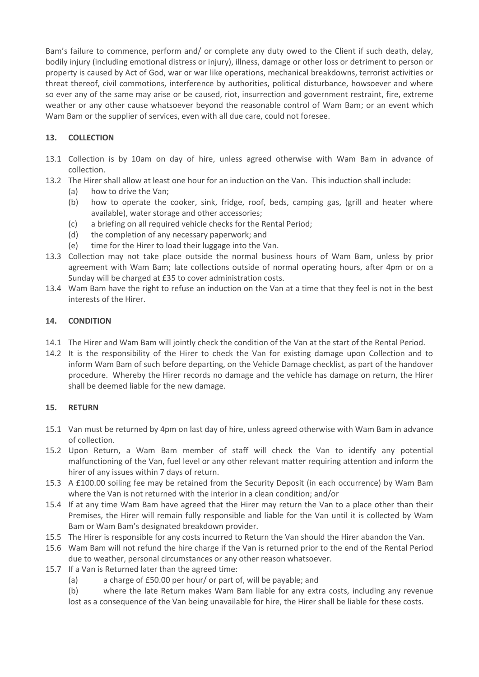Bam's failure to commence, perform and/ or complete any duty owed to the Client if such death, delay, bodily injury (including emotional distress or injury), illness, damage or other loss or detriment to person or property is caused by Act of God, war or war like operations, mechanical breakdowns, terrorist activities or threat thereof, civil commotions, interference by authorities, political disturbance, howsoever and where so ever any of the same may arise or be caused, riot, insurrection and government restraint, fire, extreme weather or any other cause whatsoever beyond the reasonable control of Wam Bam; or an event which Wam Bam or the supplier of services, even with all due care, could not foresee.

# **13. COLLECTION**

- 13.1 Collection is by 10am on day of hire, unless agreed otherwise with Wam Bam in advance of collection.
- 13.2 The Hirer shall allow at least one hour for an induction on the Van. This induction shall include:
	- (a) how to drive the Van;
	- (b) how to operate the cooker, sink, fridge, roof, beds, camping gas, (grill and heater where available), water storage and other accessories;
	- (c) a briefing on all required vehicle checks for the Rental Period;
	- (d) the completion of any necessary paperwork; and
	- (e) time for the Hirer to load their luggage into the Van.
- 13.3 Collection may not take place outside the normal business hours of Wam Bam, unless by prior agreement with Wam Bam; late collections outside of normal operating hours, after 4pm or on a Sunday will be charged at £35 to cover administration costs.
- 13.4 Wam Bam have the right to refuse an induction on the Van at a time that they feel is not in the best interests of the Hirer.

### **14. CONDITION**

- 14.1 The Hirer and Wam Bam will jointly check the condition of the Van at the start of the Rental Period.
- 14.2 It is the responsibility of the Hirer to check the Van for existing damage upon Collection and to inform Wam Bam of such before departing, on the Vehicle Damage checklist, as part of the handover procedure. Whereby the Hirer records no damage and the vehicle has damage on return, the Hirer shall be deemed liable for the new damage.

## **15. RETURN**

- 15.1 Van must be returned by 4pm on last day of hire, unless agreed otherwise with Wam Bam in advance of collection.
- 15.2 Upon Return, a Wam Bam member of staff will check the Van to identify any potential malfunctioning of the Van, fuel level or any other relevant matter requiring attention and inform the hirer of any issues within 7 days of return.
- 15.3 A £100.00 soiling fee may be retained from the Security Deposit (in each occurrence) by Wam Bam where the Van is not returned with the interior in a clean condition; and/or
- 15.4 If at any time Wam Bam have agreed that the Hirer may return the Van to a place other than their Premises, the Hirer will remain fully responsible and liable for the Van until it is collected by Wam Bam or Wam Bam's designated breakdown provider.
- 15.5 The Hirer is responsible for any costs incurred to Return the Van should the Hirer abandon the Van.
- 15.6 Wam Bam will not refund the hire charge if the Van is returned prior to the end of the Rental Period due to weather, personal circumstances or any other reason whatsoever.
- 15.7 If a Van is Returned later than the agreed time:
	- (a) a charge of £50.00 per hour/ or part of, will be payable; and
	- (b) where the late Return makes Wam Bam liable for any extra costs, including any revenue

lost as a consequence of the Van being unavailable for hire, the Hirer shall be liable for these costs.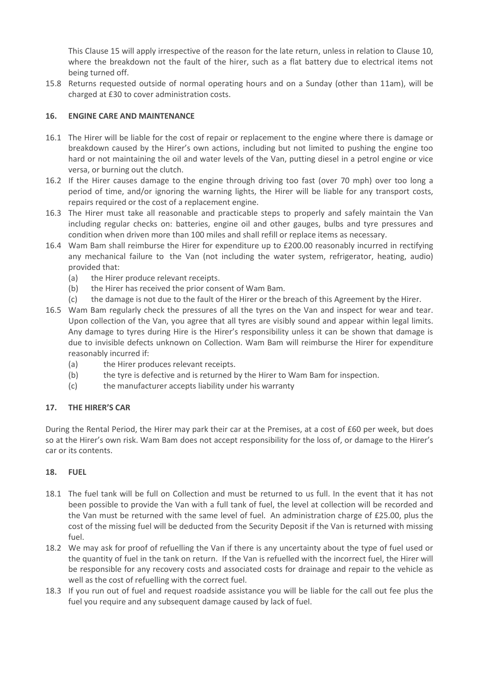This Clause 15 will apply irrespective of the reason for the late return, unless in relation to Clause 10, where the breakdown not the fault of the hirer, such as a flat battery due to electrical items not being turned off.

15.8 Returns requested outside of normal operating hours and on a Sunday (other than 11am), will be charged at £30 to cover administration costs.

## **16. ENGINE CARE AND MAINTENANCE**

- 16.1 The Hirer will be liable for the cost of repair or replacement to the engine where there is damage or breakdown caused by the Hirer's own actions, including but not limited to pushing the engine too hard or not maintaining the oil and water levels of the Van, putting diesel in a petrol engine or vice versa, or burning out the clutch.
- 16.2 If the Hirer causes damage to the engine through driving too fast (over 70 mph) over too long a period of time, and/or ignoring the warning lights, the Hirer will be liable for any transport costs, repairs required or the cost of a replacement engine.
- 16.3 The Hirer must take all reasonable and practicable steps to properly and safely maintain the Van including regular checks on: batteries, engine oil and other gauges, bulbs and tyre pressures and condition when driven more than 100 miles and shall refill or replace items as necessary.
- 16.4 Wam Bam shall reimburse the Hirer for expenditure up to £200.00 reasonably incurred in rectifying any mechanical failure to the Van (not including the water system, refrigerator, heating, audio) provided that:
	- (a) the Hirer produce relevant receipts.
	- (b) the Hirer has received the prior consent of Wam Bam.
	- (c) the damage is not due to the fault of the Hirer or the breach of this Agreement by the Hirer.
- 16.5 Wam Bam regularly check the pressures of all the tyres on the Van and inspect for wear and tear. Upon collection of the Van, you agree that all tyres are visibly sound and appear within legal limits. Any damage to tyres during Hire is the Hirer's responsibility unless it can be shown that damage is due to invisible defects unknown on Collection. Wam Bam will reimburse the Hirer for expenditure reasonably incurred if:
	- (a) the Hirer produces relevant receipts.
	- (b) the tyre is defective and is returned by the Hirer to Wam Bam for inspection.
	- (c) the manufacturer accepts liability under his warranty

## **17. THE HIRER'S CAR**

During the Rental Period, the Hirer may park their car at the Premises, at a cost of £60 per week, but does so at the Hirer's own risk. Wam Bam does not accept responsibility for the loss of, or damage to the Hirer's car or its contents.

## **18. FUEL**

- 18.1 The fuel tank will be full on Collection and must be returned to us full. In the event that it has not been possible to provide the Van with a full tank of fuel, the level at collection will be recorded and the Van must be returned with the same level of fuel. An administration charge of £25.00, plus the cost of the missing fuel will be deducted from the Security Deposit if the Van is returned with missing fuel.
- 18.2 We may ask for proof of refuelling the Van if there is any uncertainty about the type of fuel used or the quantity of fuel in the tank on return. If the Van is refuelled with the incorrect fuel, the Hirer will be responsible for any recovery costs and associated costs for drainage and repair to the vehicle as well as the cost of refuelling with the correct fuel.
- 18.3 If you run out of fuel and request roadside assistance you will be liable for the call out fee plus the fuel you require and any subsequent damage caused by lack of fuel.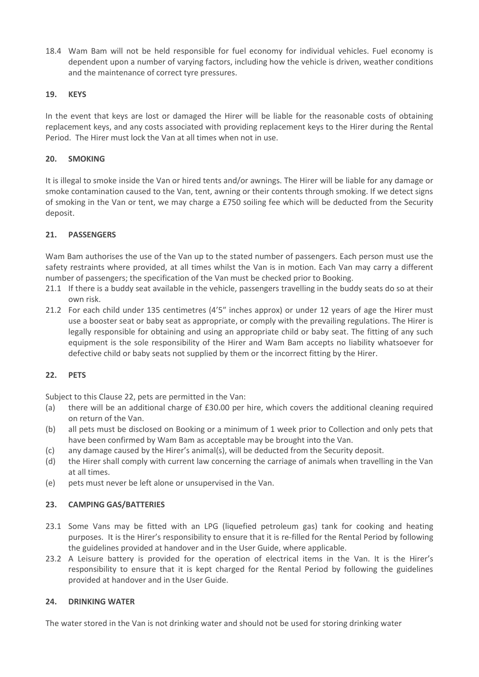18.4 Wam Bam will not be held responsible for fuel economy for individual vehicles. Fuel economy is dependent upon a number of varying factors, including how the vehicle is driven, weather conditions and the maintenance of correct tyre pressures.

## **19. KEYS**

In the event that keys are lost or damaged the Hirer will be liable for the reasonable costs of obtaining replacement keys, and any costs associated with providing replacement keys to the Hirer during the Rental Period. The Hirer must lock the Van at all times when not in use.

### **20. SMOKING**

It is illegal to smoke inside the Van or hired tents and/or awnings. The Hirer will be liable for any damage or smoke contamination caused to the Van, tent, awning or their contents through smoking. If we detect signs of smoking in the Van or tent, we may charge a £750 soiling fee which will be deducted from the Security deposit.

### **21. PASSENGERS**

Wam Bam authorises the use of the Van up to the stated number of passengers. Each person must use the safety restraints where provided, at all times whilst the Van is in motion. Each Van may carry a different number of passengers; the specification of the Van must be checked prior to Booking.

- 21.1 If there is a buddy seat available in the vehicle, passengers travelling in the buddy seats do so at their own risk.
- 21.2 For each child under 135 centimetres (4'5″ inches approx) or under 12 years of age the Hirer must use a booster seat or baby seat as appropriate, or comply with the prevailing regulations. The Hirer is legally responsible for obtaining and using an appropriate child or baby seat. The fitting of any such equipment is the sole responsibility of the Hirer and Wam Bam accepts no liability whatsoever for defective child or baby seats not supplied by them or the incorrect fitting by the Hirer.

## **22. PETS**

Subject to this Clause 22, pets are permitted in the Van:

- (a) there will be an additional charge of £30.00 per hire, which covers the additional cleaning required on return of the Van.
- (b) all pets must be disclosed on Booking or a minimum of 1 week prior to Collection and only pets that have been confirmed by Wam Bam as acceptable may be brought into the Van.
- (c) any damage caused by the Hirer's animal(s), will be deducted from the Security deposit.
- (d) the Hirer shall comply with current law concerning the carriage of animals when travelling in the Van at all times.
- (e) pets must never be left alone or unsupervised in the Van.

#### **23. CAMPING GAS/BATTERIES**

- 23.1 Some Vans may be fitted with an LPG (liquefied petroleum gas) tank for cooking and heating purposes. It is the Hirer's responsibility to ensure that it is re-filled for the Rental Period by following the guidelines provided at handover and in the User Guide, where applicable.
- 23.2 A Leisure battery is provided for the operation of electrical items in the Van. It is the Hirer's responsibility to ensure that it is kept charged for the Rental Period by following the guidelines provided at handover and in the User Guide.

#### **24. DRINKING WATER**

The water stored in the Van is not drinking water and should not be used for storing drinking water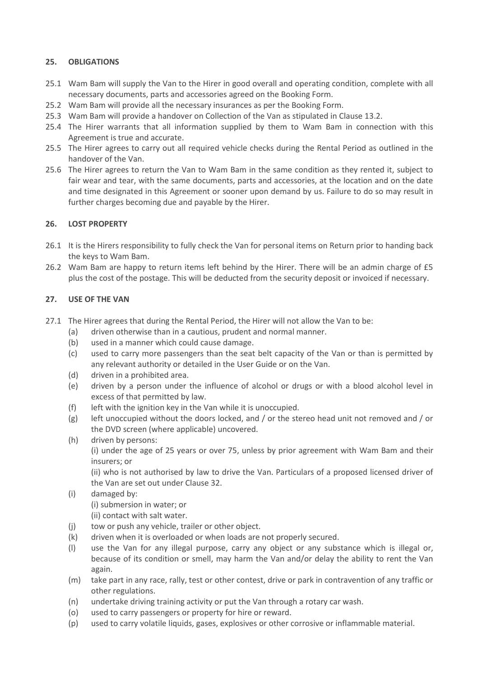## **25. OBLIGATIONS**

- 25.1 Wam Bam will supply the Van to the Hirer in good overall and operating condition, complete with all necessary documents, parts and accessories agreed on the Booking Form.
- 25.2 Wam Bam will provide all the necessary insurances as per the Booking Form.
- 25.3 Wam Bam will provide a handover on Collection of the Van as stipulated in Clause 13.2.
- 25.4 The Hirer warrants that all information supplied by them to Wam Bam in connection with this Agreement is true and accurate.
- 25.5 The Hirer agrees to carry out all required vehicle checks during the Rental Period as outlined in the handover of the Van.
- 25.6 The Hirer agrees to return the Van to Wam Bam in the same condition as they rented it, subject to fair wear and tear, with the same documents, parts and accessories, at the location and on the date and time designated in this Agreement or sooner upon demand by us. Failure to do so may result in further charges becoming due and payable by the Hirer.

# **26. LOST PROPERTY**

- 26.1 It is the Hirers responsibility to fully check the Van for personal items on Return prior to handing back the keys to Wam Bam.
- 26.2 Wam Bam are happy to return items left behind by the Hirer. There will be an admin charge of £5 plus the cost of the postage. This will be deducted from the security deposit or invoiced if necessary.

## **27. USE OF THE VAN**

- 27.1 The Hirer agrees that during the Rental Period, the Hirer will not allow the Van to be:
	- (a) driven otherwise than in a cautious, prudent and normal manner.
	- (b) used in a manner which could cause damage.
	- (c) used to carry more passengers than the seat belt capacity of the Van or than is permitted by any relevant authority or detailed in the User Guide or on the Van.
	- (d) driven in a prohibited area.
	- (e) driven by a person under the influence of alcohol or drugs or with a blood alcohol level in excess of that permitted by law.
	- (f) left with the ignition key in the Van while it is unoccupied.
	- $(g)$  left unoccupied without the doors locked, and / or the stereo head unit not removed and / or the DVD screen (where applicable) uncovered.
	- (h) driven by persons: (i) under the age of 25 years or over 75, unless by prior agreement with Wam Bam and their insurers; or

(ii) who is not authorised by law to drive the Van. Particulars of a proposed licensed driver of the Van are set out under Clause 32.

(i) damaged by:

(i) submersion in water; or

(ii) contact with salt water.

- (j) tow or push any vehicle, trailer or other object.
- (k) driven when it is overloaded or when loads are not properly secured.
- (l) use the Van for any illegal purpose, carry any object or any substance which is illegal or, because of its condition or smell, may harm the Van and/or delay the ability to rent the Van again.
- (m) take part in any race, rally, test or other contest, drive or park in contravention of any traffic or other regulations.
- (n) undertake driving training activity or put the Van through a rotary car wash.
- (o) used to carry passengers or property for hire or reward.
- (p) used to carry volatile liquids, gases, explosives or other corrosive or inflammable material.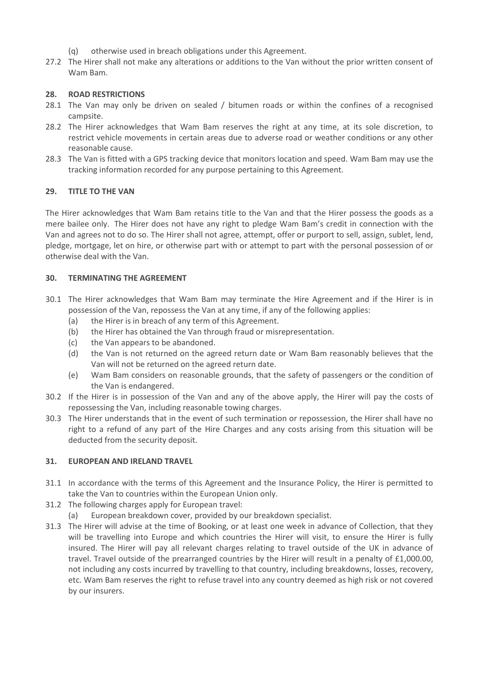- (q) otherwise used in breach obligations under this Agreement.
- 27.2 The Hirer shall not make any alterations or additions to the Van without the prior written consent of Wam Bam.

### **28. ROAD RESTRICTIONS**

- 28.1 The Van may only be driven on sealed / bitumen roads or within the confines of a recognised campsite.
- 28.2 The Hirer acknowledges that Wam Bam reserves the right at any time, at its sole discretion, to restrict vehicle movements in certain areas due to adverse road or weather conditions or any other reasonable cause.
- 28.3 The Van is fitted with a GPS tracking device that monitors location and speed. Wam Bam may use the tracking information recorded for any purpose pertaining to this Agreement.

### **29. TITLE TO THE VAN**

The Hirer acknowledges that Wam Bam retains title to the Van and that the Hirer possess the goods as a mere bailee only. The Hirer does not have any right to pledge Wam Bam's credit in connection with the Van and agrees not to do so. The Hirer shall not agree, attempt, offer or purport to sell, assign, sublet, lend, pledge, mortgage, let on hire, or otherwise part with or attempt to part with the personal possession of or otherwise deal with the Van.

### **30. TERMINATING THE AGREEMENT**

- 30.1 The Hirer acknowledges that Wam Bam may terminate the Hire Agreement and if the Hirer is in possession of the Van, repossess the Van at any time, if any of the following applies:
	- (a) the Hirer is in breach of any term of this Agreement.
	- (b) the Hirer has obtained the Van through fraud or misrepresentation.
	- (c) the Van appears to be abandoned.
	- (d) the Van is not returned on the agreed return date or Wam Bam reasonably believes that the Van will not be returned on the agreed return date.
	- (e) Wam Bam considers on reasonable grounds, that the safety of passengers or the condition of the Van is endangered.
- 30.2 If the Hirer is in possession of the Van and any of the above apply, the Hirer will pay the costs of repossessing the Van, including reasonable towing charges.
- 30.3 The Hirer understands that in the event of such termination or repossession, the Hirer shall have no right to a refund of any part of the Hire Charges and any costs arising from this situation will be deducted from the security deposit.

#### **31. EUROPEAN AND IRELAND TRAVEL**

- 31.1 In accordance with the terms of this Agreement and the Insurance Policy, the Hirer is permitted to take the Van to countries within the European Union only.
- 31.2 The following charges apply for European travel:
	- (a) European breakdown cover, provided by our breakdown specialist.
- 31.3 The Hirer will advise at the time of Booking, or at least one week in advance of Collection, that they will be travelling into Europe and which countries the Hirer will visit, to ensure the Hirer is fully insured. The Hirer will pay all relevant charges relating to travel outside of the UK in advance of travel. Travel outside of the prearranged countries by the Hirer will result in a penalty of £1,000.00, not including any costs incurred by travelling to that country, including breakdowns, losses, recovery, etc. Wam Bam reserves the right to refuse travel into any country deemed as high risk or not covered by our insurers.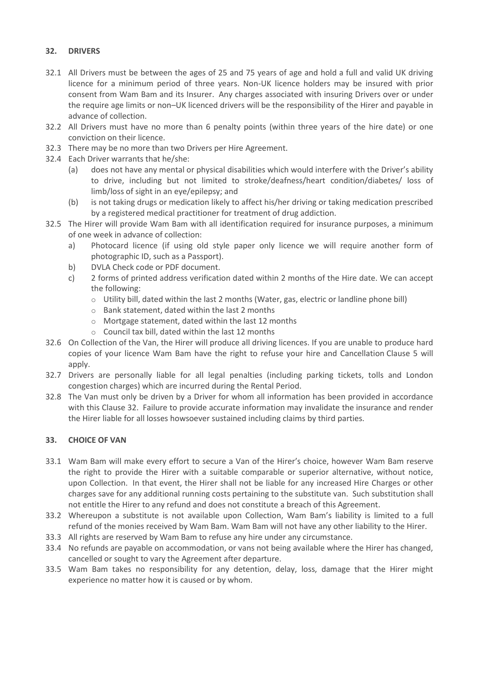# **32. DRIVERS**

- 32.1 All Drivers must be between the ages of 25 and 75 years of age and hold a full and valid UK driving licence for a minimum period of three years. Non-UK licence holders may be insured with prior consent from Wam Bam and its Insurer. Any charges associated with insuring Drivers over or under the require age limits or non–UK licenced drivers will be the responsibility of the Hirer and payable in advance of collection.
- 32.2 All Drivers must have no more than 6 penalty points (within three years of the hire date) or one conviction on their licence.
- 32.3 There may be no more than two Drivers per Hire Agreement.
- 32.4 Each Driver warrants that he/she:
	- (a) does not have any mental or physical disabilities which would interfere with the Driver's ability to drive, including but not limited to stroke/deafness/heart condition/diabetes/ loss of limb/loss of sight in an eye/epilepsy; and
	- (b) is not taking drugs or medication likely to affect his/her driving or taking medication prescribed by a registered medical practitioner for treatment of drug addiction.
- 32.5 The Hirer will provide Wam Bam with all identification required for insurance purposes, a minimum of one week in advance of collection:
	- a) Photocard licence (if using old style paper only licence we will require another form of photographic ID, such as a Passport).
	- b) DVLA Check code or PDF document.
	- c) 2 forms of printed address verification dated within 2 months of the Hire date. We can accept the following:
		- o Utility bill, dated within the last 2 months (Water, gas, electric or landline phone bill)
		- o Bank statement, dated within the last 2 months
		- o Mortgage statement, dated within the last 12 months
		- $\circ$  Council tax bill, dated within the last 12 months
- 32.6 On Collection of the Van, the Hirer will produce all driving licences. If you are unable to produce hard copies of your licence Wam Bam have the right to refuse your hire and Cancellation Clause 5 will apply.
- 32.7 Drivers are personally liable for all legal penalties (including parking tickets, tolls and London congestion charges) which are incurred during the Rental Period.
- 32.8 The Van must only be driven by a Driver for whom all information has been provided in accordance with this Clause 32. Failure to provide accurate information may invalidate the insurance and render the Hirer liable for all losses howsoever sustained including claims by third parties.

## **33. CHOICE OF VAN**

- 33.1 Wam Bam will make every effort to secure a Van of the Hirer's choice, however Wam Bam reserve the right to provide the Hirer with a suitable comparable or superior alternative, without notice, upon Collection. In that event, the Hirer shall not be liable for any increased Hire Charges or other charges save for any additional running costs pertaining to the substitute van. Such substitution shall not entitle the Hirer to any refund and does not constitute a breach of this Agreement.
- 33.2 Whereupon a substitute is not available upon Collection, Wam Bam's liability is limited to a full refund of the monies received by Wam Bam. Wam Bam will not have any other liability to the Hirer.
- 33.3 All rights are reserved by Wam Bam to refuse any hire under any circumstance.
- 33.4 No refunds are payable on accommodation, or vans not being available where the Hirer has changed, cancelled or sought to vary the Agreement after departure.
- 33.5 Wam Bam takes no responsibility for any detention, delay, loss, damage that the Hirer might experience no matter how it is caused or by whom.